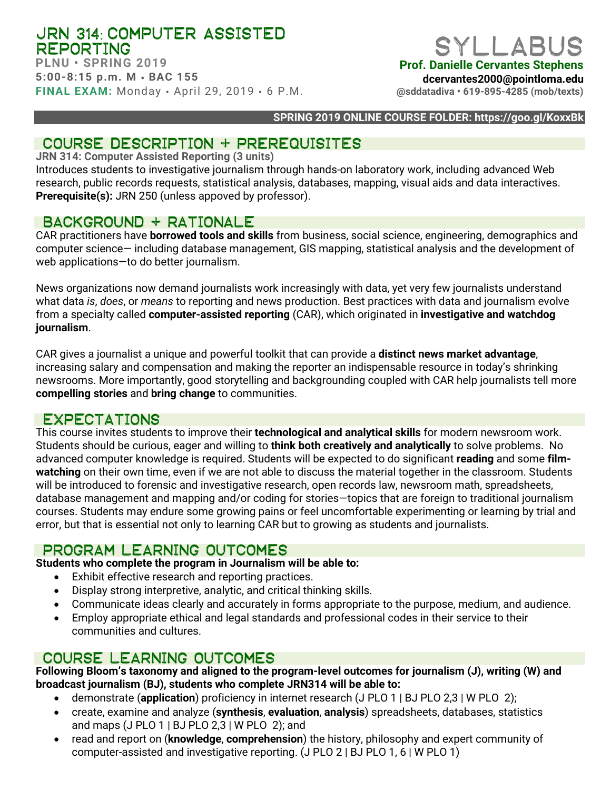## JRN 314: COMPUTER ASSISTED REPORTING

**PLNU • SPRING 2019 5:00-8:15 p.m. M** • **BAC 155 FINAL EXAM:** Monday • April 29, 2019 • 6 P.M.

# SYLLARU

**Prof. Danielle Cervantes Stephens**

**dcervantes2000@pointloma.edu**

**@sddatadiva • 619-895-4285 (mob/texts)**

### **SPRING 2019 ONLINE COURSE FOLDER: https://goo.gl/KoxxBk**

## COURSE DESCRIPTION + PREREQUISITES

**JRN 314: Computer Assisted Reporting (3 units)**

Introduces students to investigative journalism through hands-on laboratory work, including advanced Web research, public records requests, statistical analysis, databases, mapping, visual aids and data interactives. **Prerequisite(s):** JRN 250 (unless appoved by professor).

## Background + rationale

CAR practitioners have **borrowed tools and skills** from business, social science, engineering, demographics and computer science— including database management, GIS mapping, statistical analysis and the development of web applications—to do better journalism.

News organizations now demand journalists work increasingly with data, yet very few journalists understand what data *is*, *does*, or *means* to reporting and news production. Best practices with data and journalism evolve from a specialty called **computer-assisted reporting** (CAR), which originated in **investigative and watchdog journalism**.

CAR gives a journalist a unique and powerful toolkit that can provide a **distinct news market advantage**, increasing salary and compensation and making the reporter an indispensable resource in today's shrinking newsrooms. More importantly, good storytelling and backgrounding coupled with CAR help journalists tell more **compelling stories** and **bring change** to communities.

## **EXPECTATIONS**

This course invites students to improve their **technological and analytical skills** for modern newsroom work. Students should be curious, eager and willing to **think both creatively and analytically** to solve problems. No advanced computer knowledge is required. Students will be expected to do significant **reading** and some **filmwatching** on their own time, even if we are not able to discuss the material together in the classroom. Students will be introduced to forensic and investigative research, open records law, newsroom math, spreadsheets, database management and mapping and/or coding for stories—topics that are foreign to traditional journalism courses. Students may endure some growing pains or feel uncomfortable experimenting or learning by trial and error, but that is essential not only to learning CAR but to growing as students and journalists.

## PROGRAM LEARNING OUTCOMES

**Students who complete the program in Journalism will be able to:**

- Exhibit effective research and reporting practices.
- Display strong interpretive, analytic, and critical thinking skills.
- Communicate ideas clearly and accurately in forms appropriate to the purpose, medium, and audience.
- Employ appropriate ethical and legal standards and professional codes in their service to their communities and cultures.

## Course LEARNING outcomes

**Following Bloom's taxonomy and aligned to the program-level outcomes for journalism (J), writing (W) and broadcast journalism (BJ), students who complete JRN314 will be able to:**

- demonstrate (**application**) proficiency in internet research (J PLO 1 | BJ PLO 2,3 | W PLO 2);
- create, examine and analyze (**synthesis**, **evaluation**, **analysis**) spreadsheets, databases, statistics and maps (J PLO 1 | BJ PLO 2,3 | W PLO 2); and
- read and report on (**knowledge**, **comprehension**) the history, philosophy and expert community of computer-assisted and investigative reporting. (J PLO 2 | BJ PLO 1, 6 | W PLO 1)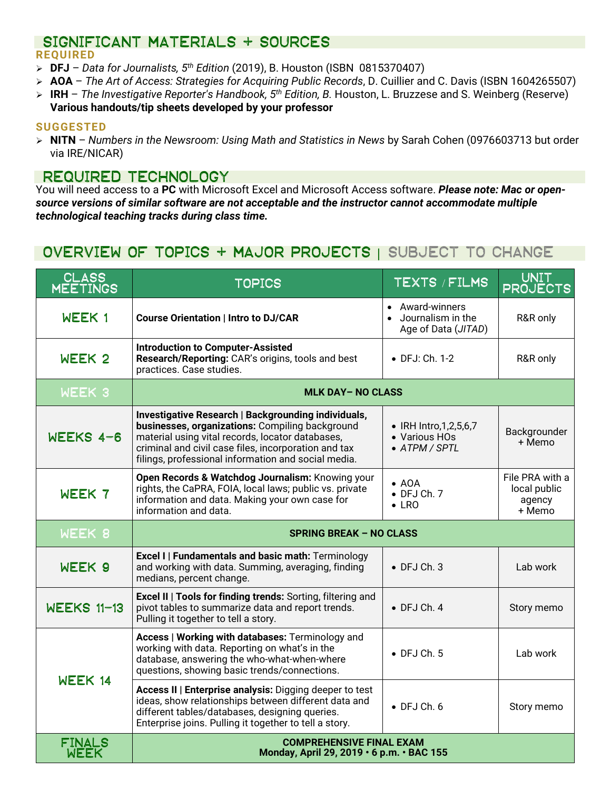### SIGNIFICANT MATERIALS + SOURCES **REQUIRED**

- **DFJ** *Data for Journalists, 5th Edition* (2019), B. Houston (ISBN 0815370407)
- **AOA** *The Art of Access: Strategies for Acquiring Public Records*, D. Cuillier and C. Davis (ISBN 1604265507)
- **IRH** *The Investigative Reporter's Handbook, 5th Edition, B.* Houston, L. Bruzzese and S. Weinberg (Reserve) **Various handouts/tip sheets developed by your professor**

### **SUGGESTED**

 **NITN** – *Numbers in the Newsroom: Using Math and Statistics in News* by Sarah Cohen (0976603713 but order via IRE/NICAR)

## Required technology

You will need access to a **PC** with Microsoft Excel and Microsoft Access software. *Please note: Mac or opensource versions of similar software are not acceptable and the instructor cannot accommodate multiple technological teaching tracks during class time.*

## Overview of topics + major projects | SUBJECT TO CHANGE

| <b>CLASS</b>                 | <b>TOPICS</b>                                                                                                                                                                                                                                                             | TEXTS / FILMS                                                | UNIT<br><b>PROJECTS</b>                             |  |  |  |  |
|------------------------------|---------------------------------------------------------------------------------------------------------------------------------------------------------------------------------------------------------------------------------------------------------------------------|--------------------------------------------------------------|-----------------------------------------------------|--|--|--|--|
| WEEK 1                       | <b>Course Orientation   Intro to DJ/CAR</b>                                                                                                                                                                                                                               | Award-winners<br>Journalism in the<br>Age of Data (JITAD)    | R&R only                                            |  |  |  |  |
| WEEK <sub>2</sub>            | <b>Introduction to Computer-Assisted</b><br>Research/Reporting: CAR's origins, tools and best<br>practices. Case studies.                                                                                                                                                 | • DFJ: Ch. 1-2                                               | R&R only                                            |  |  |  |  |
| WEEK 3                       | <b>MLK DAY-NO CLASS</b>                                                                                                                                                                                                                                                   |                                                              |                                                     |  |  |  |  |
| WEEKS 4-6                    | Investigative Research   Backgrounding individuals,<br>businesses, organizations: Compiling background<br>material using vital records, locator databases,<br>criminal and civil case files, incorporation and tax<br>filings, professional information and social media. | • IRH Intro, 1, 2, 5, 6, 7<br>• Various HOs<br>• ATPM / SPTL | Backgrounder<br>+ Memo                              |  |  |  |  |
| WEEK 7                       | Open Records & Watchdog Journalism: Knowing your<br>rights, the CaPRA, FOIA, local laws; public vs. private<br>information and data. Making your own case for<br>information and data.                                                                                    | $\bullet$ AOA<br>$\bullet$ DFJ Ch. 7<br>$\bullet$ LRO        | File PRA with a<br>local public<br>agency<br>+ Memo |  |  |  |  |
| WEEK 8                       | <b>SPRING BREAK - NO CLASS</b>                                                                                                                                                                                                                                            |                                                              |                                                     |  |  |  |  |
| WEEK 9                       | <b>Excel I   Fundamentals and basic math: Terminology</b><br>and working with data. Summing, averaging, finding<br>medians, percent change.                                                                                                                               | $\bullet$ DFJ Ch. 3                                          | Lab work                                            |  |  |  |  |
| <b>WEEKS 11-13</b>           | <b>Excel II   Tools for finding trends: Sorting, filtering and</b><br>pivot tables to summarize data and report trends.<br>Pulling it together to tell a story.                                                                                                           | $\bullet$ DFJ Ch. 4                                          | Story memo                                          |  |  |  |  |
| WEEK 14                      | Access   Working with databases: Terminology and<br>working with data. Reporting on what's in the<br>database, answering the who-what-when-where<br>questions, showing basic trends/connections.                                                                          | $\bullet$ DFJ Ch. 5                                          | Lab work                                            |  |  |  |  |
|                              | Access II   Enterprise analysis: Digging deeper to test<br>ideas, show relationships between different data and<br>different tables/databases, designing queries.<br>Enterprise joins. Pulling it together to tell a story.                                               | $\bullet$ DFJ Ch. 6                                          | Story memo                                          |  |  |  |  |
| <b>FINALS</b><br><b>WEEK</b> | <b>COMPREHENSIVE FINAL EXAM</b><br>Monday, April 29, 2019 · 6 p.m. · BAC 155                                                                                                                                                                                              |                                                              |                                                     |  |  |  |  |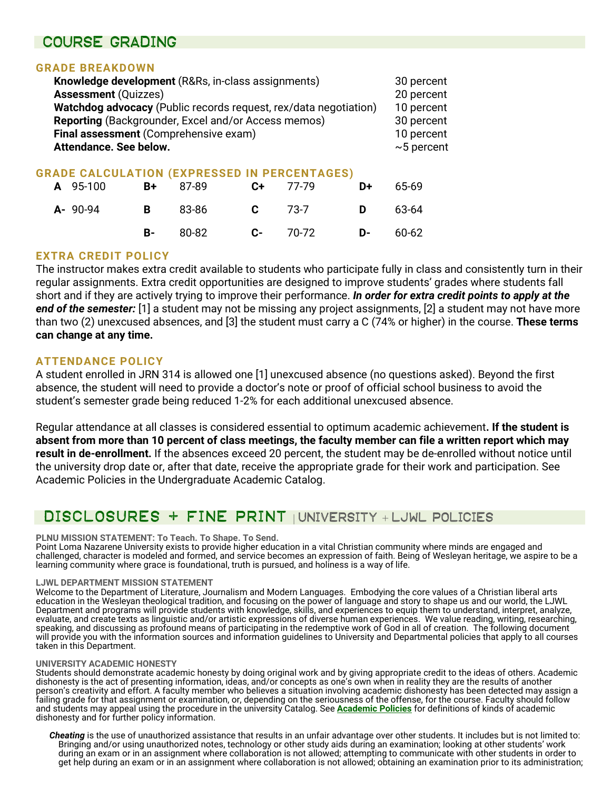## Course grading

### **GRADE BREAKDOWN**

| Knowledge development (R&Rs, in-class assignments)               | 30 percent       |
|------------------------------------------------------------------|------------------|
| <b>Assessment (Quizzes)</b>                                      | 20 percent       |
| Watchdog advocacy (Public records request, rex/data negotiation) | 10 percent       |
| Reporting (Backgrounder, Excel and/or Access memos)              | 30 percent       |
| Final assessment (Comprehensive exam)                            | 10 percent       |
| Attendance. See below.                                           | $\sim$ 5 percent |
|                                                                  |                  |

## **GRADE CALCULATION (EXPRESSED IN PERCENTAGES)**

| A 95-100        |  | <b>B+</b> 87-89 <b>C+</b> 77-79 <b>D+</b> 65-69 |  |
|-----------------|--|-------------------------------------------------|--|
| <b>A-</b> 90-94 |  | <b>B</b> 83-86 <b>C</b> 73-7 <b>D</b> 63-64     |  |
|                 |  | <b>B-</b> 80-82 <b>C-</b> 70-72 <b>D-</b> 60-62 |  |

### **EXTRA CREDIT POLICY**

The instructor makes extra credit available to students who participate fully in class and consistently turn in their regular assignments. Extra credit opportunities are designed to improve students' grades where students fall short and if they are actively trying to improve their performance. *In order for extra credit points to apply at the end of the semester:* [1] a student may not be missing any project assignments, [2] a student may not have more than two (2) unexcused absences, and [3] the student must carry a C (74% or higher) in the course. **These terms can change at any time.**

### **ATTENDANCE POLICY**

A student enrolled in JRN 314 is allowed one [1] unexcused absence (no questions asked). Beyond the first absence, the student will need to provide a doctor's note or proof of official school business to avoid the student's semester grade being reduced 1-2% for each additional unexcused absence.

Regular attendance at all classes is considered essential to optimum academic achievement**. If the student is absent from more than 10 percent of class meetings, the faculty member can file a written report which may result in de-enrollment.** If the absences exceed 20 percent, the student may be de-enrolled without notice until the university drop date or, after that date, receive the appropriate grade for their work and participation. See Academic Policies in the Undergraduate Academic Catalog.

## Disclosures + fine print | UNIVERSITY + LJWL POLICIES

### **PLNU MISSION STATEMENT: To Teach. To Shape. To Send.**

Point Loma Nazarene University exists to provide higher education in a vital Christian community where minds are engaged and challenged, character is modeled and formed, and service becomes an expression of faith. Being of Wesleyan heritage, we aspire to be a learning community where grace is foundational, truth is pursued, and holiness is a way of life.

### **LJWL DEPARTMENT MISSION STATEMENT**

Welcome to the Department of Literature, Journalism and Modern Languages. Embodying the core values of a Christian liberal arts education in the Wesleyan theological tradition, and focusing on the power of language and story to shape us and our world, the LJWL Department and programs will provide students with knowledge, skills, and experiences to equip them to understand, interpret, analyze, evaluate, and create texts as linguistic and/or artistic expressions of diverse human experiences. We value reading, writing, researching, speaking, and discussing as profound means of participating in the redemptive work of God in all of creation. The following document will provide you with the information sources and information guidelines to University and Departmental policies that apply to all courses taken in this Department.

### **UNIVERSITY ACADEMIC HONESTY**

Students should demonstrate academic honesty by doing original work and by giving appropriate credit to the ideas of others. Academic dishonesty is the act of presenting information, ideas, and/or concepts as one's own when in reality they are the results of another person's creativity and effort. A faculty member who believes a situation involving academic dishonesty has been detected may assign a failing grade for that assignment or examination, or, depending on the seriousness of the offense, for the course. Faculty should follow and students may appeal using the procedure in the university Catalog. See **[Academic Policies](http://catalog.pointloma.edu/content.php?catoid=18&navoid=1278)** for definitions of kinds of academic dishonesty and for further policy information.

*Cheating* is the use of unauthorized assistance that results in an unfair advantage over other students. It includes but is not limited to: Bringing and/or using unauthorized notes, technology or other study aids during an examination; looking at other students' work during an exam or in an assignment where collaboration is not allowed; attempting to communicate with other students in order to get help during an exam or in an assignment where collaboration is not allowed; obtaining an examination prior to its administration;